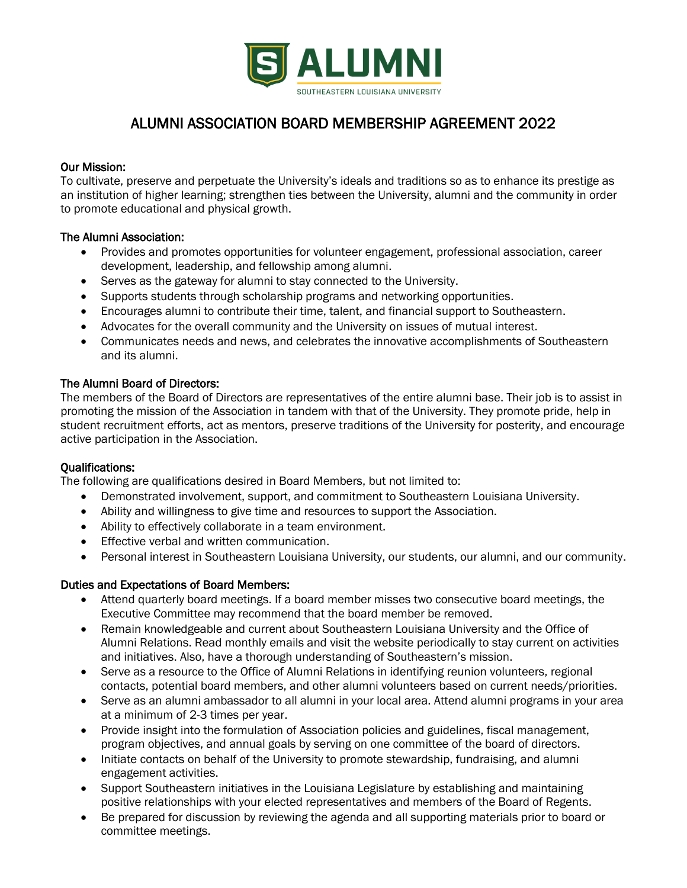

# ALUMNI ASSOCIATION BOARD MEMBERSHIP AGREEMENT 2022

## Our Mission:

To cultivate, preserve and perpetuate the University's ideals and traditions so as to enhance its prestige as an institution of higher learning; strengthen ties between the University, alumni and the community in order to promote educational and physical growth.

## The Alumni Association:

- Provides and promotes opportunities for volunteer engagement, professional association, career development, leadership, and fellowship among alumni.
- Serves as the gateway for alumni to stay connected to the University.
- Supports students through scholarship programs and networking opportunities.
- Encourages alumni to contribute their time, talent, and financial support to Southeastern.
- Advocates for the overall community and the University on issues of mutual interest.
- Communicates needs and news, and celebrates the innovative accomplishments of Southeastern and its alumni.

## The Alumni Board of Directors:

The members of the Board of Directors are representatives of the entire alumni base. Their job is to assist in promoting the mission of the Association in tandem with that of the University. They promote pride, help in student recruitment efforts, act as mentors, preserve traditions of the University for posterity, and encourage active participation in the Association.

#### Qualifications:

The following are qualifications desired in Board Members, but not limited to:

- Demonstrated involvement, support, and commitment to Southeastern Louisiana University.
- Ability and willingness to give time and resources to support the Association.
- Ability to effectively collaborate in a team environment.
- Effective verbal and written communication.
- Personal interest in Southeastern Louisiana University, our students, our alumni, and our community.

#### Duties and Expectations of Board Members:

- Attend quarterly board meetings. If a board member misses two consecutive board meetings, the Executive Committee may recommend that the board member be removed.
- Remain knowledgeable and current about Southeastern Louisiana University and the Office of Alumni Relations. Read monthly emails and visit the website periodically to stay current on activities and initiatives. Also, have a thorough understanding of Southeastern's mission.
- Serve as a resource to the Office of Alumni Relations in identifying reunion volunteers, regional contacts, potential board members, and other alumni volunteers based on current needs/priorities.
- Serve as an alumni ambassador to all alumni in your local area. Attend alumni programs in your area at a minimum of 2-3 times per year.
- Provide insight into the formulation of Association policies and guidelines, fiscal management, program objectives, and annual goals by serving on one committee of the board of directors.
- Initiate contacts on behalf of the University to promote stewardship, fundraising, and alumni engagement activities.
- Support Southeastern initiatives in the Louisiana Legislature by establishing and maintaining positive relationships with your elected representatives and members of the Board of Regents.
- Be prepared for discussion by reviewing the agenda and all supporting materials prior to board or committee meetings.